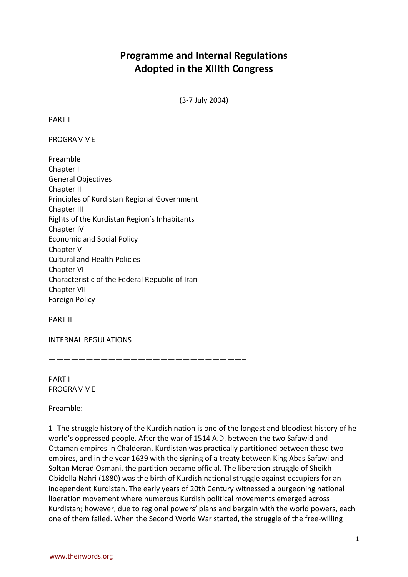## **Programme and Internal Regulations Adopted in the XIIIth Congress**

(3-7 July 2004)

PART I

PROGRAMME

Preamble Chapter I General Objectives Chapter II Principles of Kurdistan Regional Government Chapter III Rights of the Kurdistan Region's Inhabitants Chapter IV Economic and Social Policy Chapter V Cultural and Health Policies Chapter VI Characteristic of the Federal Republic of Iran Chapter VII Foreign Policy

PART II

INTERNAL REGULATIONS

——————————————————————————–

PART I PROGRAMME

Preamble:

1- The struggle history of the Kurdish nation is one of the longest and bloodiest history of he world's oppressed people. After the war of 1514 A.D. between the two Safawid and Ottaman empires in Chalderan, Kurdistan was practically partitioned between these two empires, and in the year 1639 with the signing of a treaty between King Abas Safawi and Soltan Morad Osmani, the partition became official. The liberation struggle of Sheikh Obidolla Nahri (1880) was the birth of Kurdish national struggle against occupiers for an independent Kurdistan. The early years of 20th Century witnessed a burgeoning national liberation movement where numerous Kurdish political movements emerged across Kurdistan; however, due to regional powers' plans and bargain with the world powers, each one of them failed. When the Second World War started, the struggle of the free-willing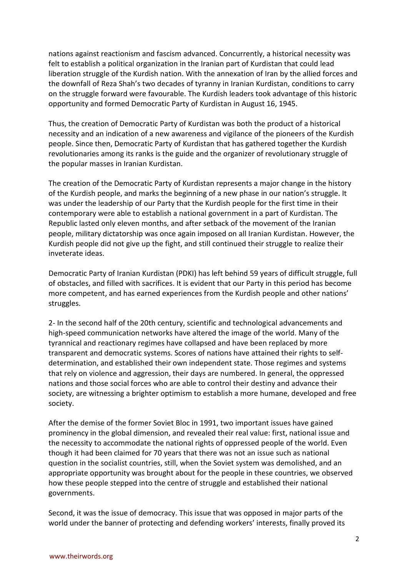nations against reactionism and fascism advanced. Concurrently, a historical necessity was felt to establish a political organization in the Iranian part of Kurdistan that could lead liberation struggle of the Kurdish nation. With the annexation of Iran by the allied forces and the downfall of Reza Shah's two decades of tyranny in Iranian Kurdistan, conditions to carry on the struggle forward were favourable. The Kurdish leaders took advantage of this historic opportunity and formed Democratic Party of Kurdistan in August 16, 1945.

Thus, the creation of Democratic Party of Kurdistan was both the product of a historical necessity and an indication of a new awareness and vigilance of the pioneers of the Kurdish people. Since then, Democratic Party of Kurdistan that has gathered together the Kurdish revolutionaries among its ranks is the guide and the organizer of revolutionary struggle of the popular masses in Iranian Kurdistan.

The creation of the Democratic Party of Kurdistan represents a major change in the history of the Kurdish people, and marks the beginning of a new phase in our nation's struggle. It was under the leadership of our Party that the Kurdish people for the first time in their contemporary were able to establish a national government in a part of Kurdistan. The Republic lasted only eleven months, and after setback of the movement of the Iranian people, military dictatorship was once again imposed on all Iranian Kurdistan. However, the Kurdish people did not give up the fight, and still continued their struggle to realize their inveterate ideas.

Democratic Party of Iranian Kurdistan (PDKI) has left behind 59 years of difficult struggle, full of obstacles, and filled with sacrifices. It is evident that our Party in this period has become more competent, and has earned experiences from the Kurdish people and other nations' struggles.

2- In the second half of the 20th century, scientific and technological advancements and high-speed communication networks have altered the image of the world. Many of the tyrannical and reactionary regimes have collapsed and have been replaced by more transparent and democratic systems. Scores of nations have attained their rights to selfdetermination, and established their own independent state. Those regimes and systems that rely on violence and aggression, their days are numbered. In general, the oppressed nations and those social forces who are able to control their destiny and advance their society, are witnessing a brighter optimism to establish a more humane, developed and free society.

After the demise of the former Soviet Bloc in 1991, two important issues have gained prominency in the global dimension, and revealed their real value: first, national issue and the necessity to accommodate the national rights of oppressed people of the world. Even though it had been claimed for 70 years that there was not an issue such as national question in the socialist countries, still, when the Soviet system was demolished, and an appropriate opportunity was brought about for the people in these countries, we observed how these people stepped into the centre of struggle and established their national governments.

Second, it was the issue of democracy. This issue that was opposed in major parts of the world under the banner of protecting and defending workers' interests, finally proved its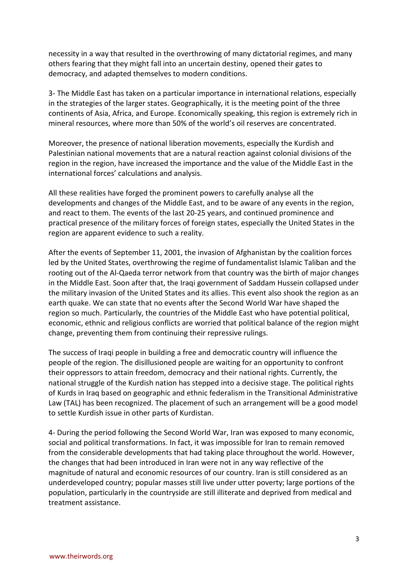necessity in a way that resulted in the overthrowing of many dictatorial regimes, and many others fearing that they might fall into an uncertain destiny, opened their gates to democracy, and adapted themselves to modern conditions.

3- The Middle East has taken on a particular importance in international relations, especially in the strategies of the larger states. Geographically, it is the meeting point of the three continents of Asia, Africa, and Europe. Economically speaking, this region is extremely rich in mineral resources, where more than 50% of the world's oil reserves are concentrated.

Moreover, the presence of national liberation movements, especially the Kurdish and Palestinian national movements that are a natural reaction against colonial divisions of the region in the region, have increased the importance and the value of the Middle East in the international forces' calculations and analysis.

All these realities have forged the prominent powers to carefully analyse all the developments and changes of the Middle East, and to be aware of any events in the region, and react to them. The events of the last 20-25 years, and continued prominence and practical presence of the military forces of foreign states, especially the United States in the region are apparent evidence to such a reality.

After the events of September 11, 2001, the invasion of Afghanistan by the coalition forces led by the United States, overthrowing the regime of fundamentalist Islamic Taliban and the rooting out of the Al-Qaeda terror network from that country was the birth of major changes in the Middle East. Soon after that, the Iraqi government of Saddam Hussein collapsed under the military invasion of the United States and its allies. This event also shook the region as an earth quake. We can state that no events after the Second World War have shaped the region so much. Particularly, the countries of the Middle East who have potential political, economic, ethnic and religious conflicts are worried that political balance of the region might change, preventing them from continuing their repressive rulings.

The success of Iraqi people in building a free and democratic country will influence the people of the region. The disillusioned people are waiting for an opportunity to confront their oppressors to attain freedom, democracy and their national rights. Currently, the national struggle of the Kurdish nation has stepped into a decisive stage. The political rights of Kurds in Iraq based on geographic and ethnic federalism in the Transitional Administrative Law (TAL) has been recognized. The placement of such an arrangement will be a good model to settle Kurdish issue in other parts of Kurdistan.

4- During the period following the Second World War, Iran was exposed to many economic, social and political transformations. In fact, it was impossible for Iran to remain removed from the considerable developments that had taking place throughout the world. However, the changes that had been introduced in Iran were not in any way reflective of the magnitude of natural and economic resources of our country. Iran is still considered as an underdeveloped country; popular masses still live under utter poverty; large portions of the population, particularly in the countryside are still illiterate and deprived from medical and treatment assistance.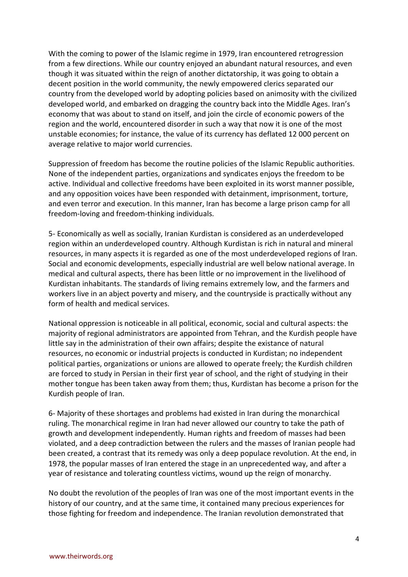With the coming to power of the Islamic regime in 1979, Iran encountered retrogression from a few directions. While our country enjoyed an abundant natural resources, and even though it was situated within the reign of another dictatorship, it was going to obtain a decent position in the world community, the newly empowered clerics separated our country from the developed world by adopting policies based on animosity with the civilized developed world, and embarked on dragging the country back into the Middle Ages. Iran's economy that was about to stand on itself, and join the circle of economic powers of the region and the world, encountered disorder in such a way that now it is one of the most unstable economies; for instance, the value of its currency has deflated 12 000 percent on average relative to major world currencies.

Suppression of freedom has become the routine policies of the Islamic Republic authorities. None of the independent parties, organizations and syndicates enjoys the freedom to be active. Individual and collective freedoms have been exploited in its worst manner possible, and any opposition voices have been responded with detainment, imprisonment, torture, and even terror and execution. In this manner, Iran has become a large prison camp for all freedom-loving and freedom-thinking individuals.

5- Economically as well as socially, Iranian Kurdistan is considered as an underdeveloped region within an underdeveloped country. Although Kurdistan is rich in natural and mineral resources, in many aspects it is regarded as one of the most underdeveloped regions of Iran. Social and economic developments, especially industrial are well below national average. In medical and cultural aspects, there has been little or no improvement in the livelihood of Kurdistan inhabitants. The standards of living remains extremely low, and the farmers and workers live in an abject poverty and misery, and the countryside is practically without any form of health and medical services.

National oppression is noticeable in all political, economic, social and cultural aspects: the majority of regional administrators are appointed from Tehran, and the Kurdish people have little say in the administration of their own affairs; despite the existance of natural resources, no economic or industrial projects is conducted in Kurdistan; no independent political parties, organizations or unions are allowed to operate freely; the Kurdish children are forced to study in Persian in their first year of school, and the right of studying in their mother tongue has been taken away from them; thus, Kurdistan has become a prison for the Kurdish people of Iran.

6- Majority of these shortages and problems had existed in Iran during the monarchical ruling. The monarchical regime in Iran had never allowed our country to take the path of growth and development independently. Human rights and freedom of masses had been violated, and a deep contradiction between the rulers and the masses of Iranian people had been created, a contrast that its remedy was only a deep populace revolution. At the end, in 1978, the popular masses of Iran entered the stage in an unprecedented way, and after a year of resistance and tolerating countless victims, wound up the reign of monarchy.

No doubt the revolution of the peoples of Iran was one of the most important events in the history of our country, and at the same time, it contained many precious experiences for those fighting for freedom and independence. The Iranian revolution demonstrated that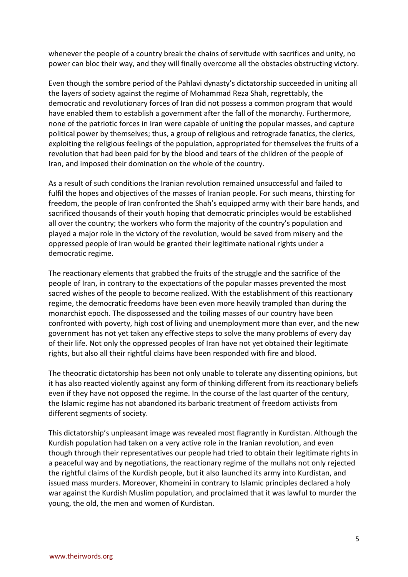whenever the people of a country break the chains of servitude with sacrifices and unity, no power can bloc their way, and they will finally overcome all the obstacles obstructing victory.

Even though the sombre period of the Pahlavi dynasty's dictatorship succeeded in uniting all the layers of society against the regime of Mohammad Reza Shah, regrettably, the democratic and revolutionary forces of Iran did not possess a common program that would have enabled them to establish a government after the fall of the monarchy. Furthermore, none of the patriotic forces in Iran were capable of uniting the popular masses, and capture political power by themselves; thus, a group of religious and retrograde fanatics, the clerics, exploiting the religious feelings of the population, appropriated for themselves the fruits of a revolution that had been paid for by the blood and tears of the children of the people of Iran, and imposed their domination on the whole of the country.

As a result of such conditions the Iranian revolution remained unsuccessful and failed to fulfil the hopes and objectives of the masses of Iranian people. For such means, thirsting for freedom, the people of Iran confronted the Shah's equipped army with their bare hands, and sacrificed thousands of their youth hoping that democratic principles would be established all over the country; the workers who form the majority of the country's population and played a major role in the victory of the revolution, would be saved from misery and the oppressed people of Iran would be granted their legitimate national rights under a democratic regime.

The reactionary elements that grabbed the fruits of the struggle and the sacrifice of the people of Iran, in contrary to the expectations of the popular masses prevented the most sacred wishes of the people to become realized. With the establishment of this reactionary regime, the democratic freedoms have been even more heavily trampled than during the monarchist epoch. The dispossessed and the toiling masses of our country have been confronted with poverty, high cost of living and unemployment more than ever, and the new government has not yet taken any effective steps to solve the many problems of every day of their life. Not only the oppressed peoples of Iran have not yet obtained their legitimate rights, but also all their rightful claims have been responded with fire and blood.

The theocratic dictatorship has been not only unable to tolerate any dissenting opinions, but it has also reacted violently against any form of thinking different from its reactionary beliefs even if they have not opposed the regime. In the course of the last quarter of the century, the Islamic regime has not abandoned its barbaric treatment of freedom activists from different segments of society.

This dictatorship's unpleasant image was revealed most flagrantly in Kurdistan. Although the Kurdish population had taken on a very active role in the Iranian revolution, and even though through their representatives our people had tried to obtain their legitimate rights in a peaceful way and by negotiations, the reactionary regime of the mullahs not only rejected the rightful claims of the Kurdish people, but it also launched its army into Kurdistan, and issued mass murders. Moreover, Khomeini in contrary to Islamic principles declared a holy war against the Kurdish Muslim population, and proclaimed that it was lawful to murder the young, the old, the men and women of Kurdistan.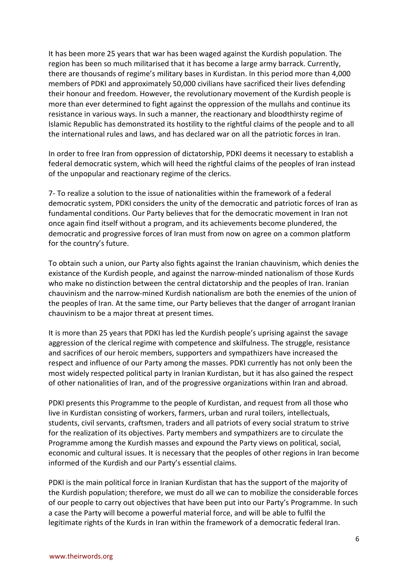It has been more 25 years that war has been waged against the Kurdish population. The region has been so much militarised that it has become a large army barrack. Currently, there are thousands of regime's military bases in Kurdistan. In this period more than 4,000 members of PDKI and approximately 50,000 civilians have sacrificed their lives defending their honour and freedom. However, the revolutionary movement of the Kurdish people is more than ever determined to fight against the oppression of the mullahs and continue its resistance in various ways. In such a manner, the reactionary and bloodthirsty regime of Islamic Republic has demonstrated its hostility to the rightful claims of the people and to all the international rules and laws, and has declared war on all the patriotic forces in Iran.

In order to free Iran from oppression of dictatorship, PDKI deems it necessary to establish a federal democratic system, which will heed the rightful claims of the peoples of Iran instead of the unpopular and reactionary regime of the clerics.

7- To realize a solution to the issue of nationalities within the framework of a federal democratic system, PDKI considers the unity of the democratic and patriotic forces of Iran as fundamental conditions. Our Party believes that for the democratic movement in Iran not once again find itself without a program, and its achievements become plundered, the democratic and progressive forces of Iran must from now on agree on a common platform for the country's future.

To obtain such a union, our Party also fights against the Iranian chauvinism, which denies the existance of the Kurdish people, and against the narrow-minded nationalism of those Kurds who make no distinction between the central dictatorship and the peoples of Iran. Iranian chauvinism and the narrow-mined Kurdish nationalism are both the enemies of the union of the peoples of Iran. At the same time, our Party believes that the danger of arrogant Iranian chauvinism to be a major threat at present times.

It is more than 25 years that PDKI has led the Kurdish people's uprising against the savage aggression of the clerical regime with competence and skilfulness. The struggle, resistance and sacrifices of our heroic members, supporters and sympathizers have increased the respect and influence of our Party among the masses. PDKI currently has not only been the most widely respected political party in Iranian Kurdistan, but it has also gained the respect of other nationalities of Iran, and of the progressive organizations within Iran and abroad.

PDKI presents this Programme to the people of Kurdistan, and request from all those who live in Kurdistan consisting of workers, farmers, urban and rural toilers, intellectuals, students, civil servants, craftsmen, traders and all patriots of every social stratum to strive for the realization of its objectives. Party members and sympathizers are to circulate the Programme among the Kurdish masses and expound the Party views on political, social, economic and cultural issues. It is necessary that the peoples of other regions in Iran become informed of the Kurdish and our Party's essential claims.

PDKI is the main political force in Iranian Kurdistan that has the support of the majority of the Kurdish population; therefore, we must do all we can to mobilize the considerable forces of our people to carry out objectives that have been put into our Party's Programme. In such a case the Party will become a powerful material force, and will be able to fulfil the legitimate rights of the Kurds in Iran within the framework of a democratic federal Iran.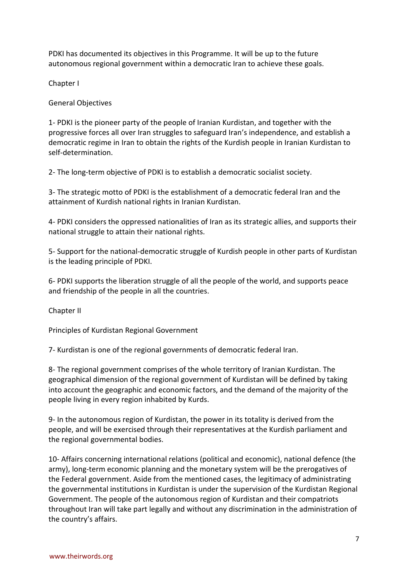PDKI has documented its objectives in this Programme. It will be up to the future autonomous regional government within a democratic Iran to achieve these goals.

Chapter I

General Objectives

1- PDKI is the pioneer party of the people of Iranian Kurdistan, and together with the progressive forces all over Iran struggles to safeguard Iran's independence, and establish a democratic regime in Iran to obtain the rights of the Kurdish people in Iranian Kurdistan to self-determination.

2- The long-term objective of PDKI is to establish a democratic socialist society.

3- The strategic motto of PDKI is the establishment of a democratic federal Iran and the attainment of Kurdish national rights in Iranian Kurdistan.

4- PDKI considers the oppressed nationalities of Iran as its strategic allies, and supports their national struggle to attain their national rights.

5- Support for the national-democratic struggle of Kurdish people in other parts of Kurdistan is the leading principle of PDKI.

6- PDKI supports the liberation struggle of all the people of the world, and supports peace and friendship of the people in all the countries.

Chapter II

Principles of Kurdistan Regional Government

7- Kurdistan is one of the regional governments of democratic federal Iran.

8- The regional government comprises of the whole territory of Iranian Kurdistan. The geographical dimension of the regional government of Kurdistan will be defined by taking into account the geographic and economic factors, and the demand of the majority of the people living in every region inhabited by Kurds.

9- In the autonomous region of Kurdistan, the power in its totality is derived from the people, and will be exercised through their representatives at the Kurdish parliament and the regional governmental bodies.

10- Affairs concerning international relations (political and economic), national defence (the army), long-term economic planning and the monetary system will be the prerogatives of the Federal government. Aside from the mentioned cases, the legitimacy of administrating the governmental institutions in Kurdistan is under the supervision of the Kurdistan Regional Government. The people of the autonomous region of Kurdistan and their compatriots throughout Iran will take part legally and without any discrimination in the administration of the country's affairs.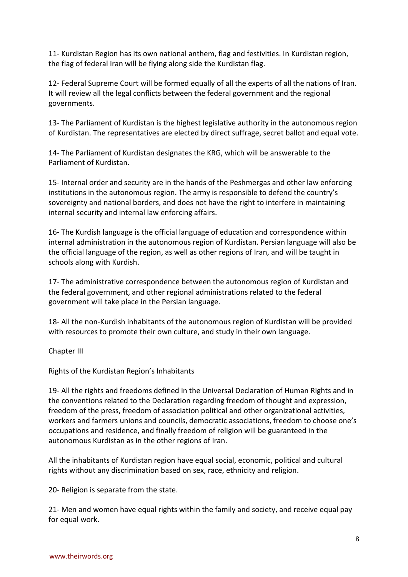11- Kurdistan Region has its own national anthem, flag and festivities. In Kurdistan region, the flag of federal Iran will be flying along side the Kurdistan flag.

12- Federal Supreme Court will be formed equally of all the experts of all the nations of Iran. It will review all the legal conflicts between the federal government and the regional governments.

13- The Parliament of Kurdistan is the highest legislative authority in the autonomous region of Kurdistan. The representatives are elected by direct suffrage, secret ballot and equal vote.

14- The Parliament of Kurdistan designates the KRG, which will be answerable to the Parliament of Kurdistan.

15- Internal order and security are in the hands of the Peshmergas and other law enforcing institutions in the autonomous region. The army is responsible to defend the country's sovereignty and national borders, and does not have the right to interfere in maintaining internal security and internal law enforcing affairs.

16- The Kurdish language is the official language of education and correspondence within internal administration in the autonomous region of Kurdistan. Persian language will also be the official language of the region, as well as other regions of Iran, and will be taught in schools along with Kurdish.

17- The administrative correspondence between the autonomous region of Kurdistan and the federal government, and other regional administrations related to the federal government will take place in the Persian language.

18- All the non-Kurdish inhabitants of the autonomous region of Kurdistan will be provided with resources to promote their own culture, and study in their own language.

Chapter III

Rights of the Kurdistan Region's Inhabitants

19- All the rights and freedoms defined in the Universal Declaration of Human Rights and in the conventions related to the Declaration regarding freedom of thought and expression, freedom of the press, freedom of association political and other organizational activities, workers and farmers unions and councils, democratic associations, freedom to choose one's occupations and residence, and finally freedom of religion will be guaranteed in the autonomous Kurdistan as in the other regions of Iran.

All the inhabitants of Kurdistan region have equal social, economic, political and cultural rights without any discrimination based on sex, race, ethnicity and religion.

20- Religion is separate from the state.

21- Men and women have equal rights within the family and society, and receive equal pay for equal work.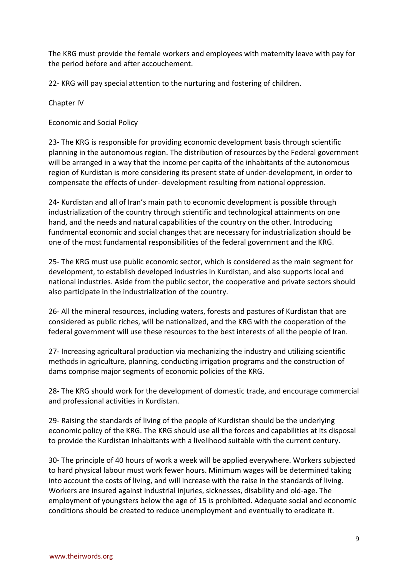The KRG must provide the female workers and employees with maternity leave with pay for the period before and after accouchement.

22- KRG will pay special attention to the nurturing and fostering of children.

Chapter IV

Economic and Social Policy

23- The KRG is responsible for providing economic development basis through scientific planning in the autonomous region. The distribution of resources by the Federal government will be arranged in a way that the income per capita of the inhabitants of the autonomous region of Kurdistan is more considering its present state of under-development, in order to compensate the effects of under- development resulting from national oppression.

24- Kurdistan and all of Iran's main path to economic development is possible through industrialization of the country through scientific and technological attainments on one hand, and the needs and natural capabilities of the country on the other. Introducing fundmental economic and social changes that are necessary for industrialization should be one of the most fundamental responsibilities of the federal government and the KRG.

25- The KRG must use public economic sector, which is considered as the main segment for development, to establish developed industries in Kurdistan, and also supports local and national industries. Aside from the public sector, the cooperative and private sectors should also participate in the industrialization of the country.

26- All the mineral resources, including waters, forests and pastures of Kurdistan that are considered as public riches, will be nationalized, and the KRG with the cooperation of the federal government will use these resources to the best interests of all the people of Iran.

27- Increasing agricultural production via mechanizing the industry and utilizing scientific methods in agriculture, planning, conducting irrigation programs and the construction of dams comprise major segments of economic policies of the KRG.

28- The KRG should work for the development of domestic trade, and encourage commercial and professional activities in Kurdistan.

29- Raising the standards of living of the people of Kurdistan should be the underlying economic policy of the KRG. The KRG should use all the forces and capabilities at its disposal to provide the Kurdistan inhabitants with a livelihood suitable with the current century.

30- The principle of 40 hours of work a week will be applied everywhere. Workers subjected to hard physical labour must work fewer hours. Minimum wages will be determined taking into account the costs of living, and will increase with the raise in the standards of living. Workers are insured against industrial injuries, sicknesses, disability and old-age. The employment of youngsters below the age of 15 is prohibited. Adequate social and economic conditions should be created to reduce unemployment and eventually to eradicate it.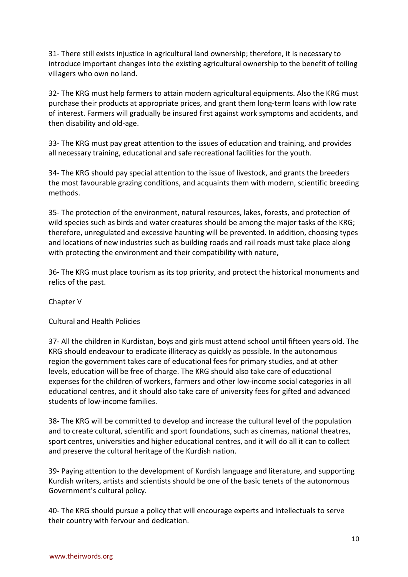31- There still exists injustice in agricultural land ownership; therefore, it is necessary to introduce important changes into the existing agricultural ownership to the benefit of toiling villagers who own no land.

32- The KRG must help farmers to attain modern agricultural equipments. Also the KRG must purchase their products at appropriate prices, and grant them long-term loans with low rate of interest. Farmers will gradually be insured first against work symptoms and accidents, and then disability and old-age.

33- The KRG must pay great attention to the issues of education and training, and provides all necessary training, educational and safe recreational facilities for the youth.

34- The KRG should pay special attention to the issue of livestock, and grants the breeders the most favourable grazing conditions, and acquaints them with modern, scientific breeding methods.

35- The protection of the environment, natural resources, lakes, forests, and protection of wild species such as birds and water creatures should be among the major tasks of the KRG; therefore, unregulated and excessive haunting will be prevented. In addition, choosing types and locations of new industries such as building roads and rail roads must take place along with protecting the environment and their compatibility with nature,

36- The KRG must place tourism as its top priority, and protect the historical monuments and relics of the past.

Chapter V

Cultural and Health Policies

37- All the children in Kurdistan, boys and girls must attend school until fifteen years old. The KRG should endeavour to eradicate illiteracy as quickly as possible. In the autonomous region the government takes care of educational fees for primary studies, and at other levels, education will be free of charge. The KRG should also take care of educational expenses for the children of workers, farmers and other low-income social categories in all educational centres, and it should also take care of university fees for gifted and advanced students of low-income families.

38- The KRG will be committed to develop and increase the cultural level of the population and to create cultural, scientific and sport foundations, such as cinemas, national theatres, sport centres, universities and higher educational centres, and it will do all it can to collect and preserve the cultural heritage of the Kurdish nation.

39- Paying attention to the development of Kurdish language and literature, and supporting Kurdish writers, artists and scientists should be one of the basic tenets of the autonomous Government's cultural policy.

40- The KRG should pursue a policy that will encourage experts and intellectuals to serve their country with fervour and dedication.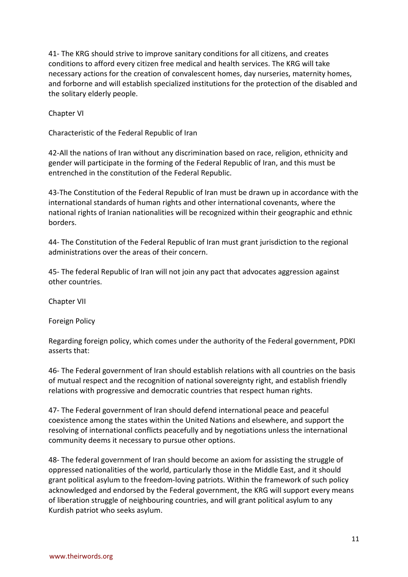41- The KRG should strive to improve sanitary conditions for all citizens, and creates conditions to afford every citizen free medical and health services. The KRG will take necessary actions for the creation of convalescent homes, day nurseries, maternity homes, and forborne and will establish specialized institutions for the protection of the disabled and the solitary elderly people.

Chapter VI

Characteristic of the Federal Republic of Iran

42-All the nations of Iran without any discrimination based on race, religion, ethnicity and gender will participate in the forming of the Federal Republic of Iran, and this must be entrenched in the constitution of the Federal Republic.

43-The Constitution of the Federal Republic of Iran must be drawn up in accordance with the international standards of human rights and other international covenants, where the national rights of Iranian nationalities will be recognized within their geographic and ethnic borders.

44- The Constitution of the Federal Republic of Iran must grant jurisdiction to the regional administrations over the areas of their concern.

45- The federal Republic of Iran will not join any pact that advocates aggression against other countries.

Chapter VII

Foreign Policy

Regarding foreign policy, which comes under the authority of the Federal government, PDKI asserts that:

46- The Federal government of Iran should establish relations with all countries on the basis of mutual respect and the recognition of national sovereignty right, and establish friendly relations with progressive and democratic countries that respect human rights.

47- The Federal government of Iran should defend international peace and peaceful coexistence among the states within the United Nations and elsewhere, and support the resolving of international conflicts peacefully and by negotiations unless the international community deems it necessary to pursue other options.

48- The federal government of Iran should become an axiom for assisting the struggle of oppressed nationalities of the world, particularly those in the Middle East, and it should grant political asylum to the freedom-loving patriots. Within the framework of such policy acknowledged and endorsed by the Federal government, the KRG will support every means of liberation struggle of neighbouring countries, and will grant political asylum to any Kurdish patriot who seeks asylum.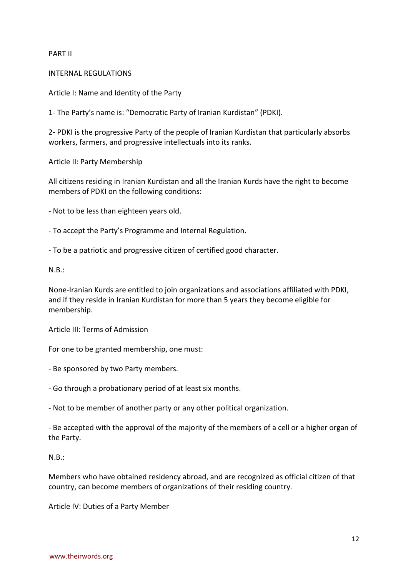## PART II

INTERNAL REGULATIONS

Article I: Name and Identity of the Party

1- The Party's name is: "Democratic Party of Iranian Kurdistan" (PDKI).

2- PDKI is the progressive Party of the people of Iranian Kurdistan that particularly absorbs workers, farmers, and progressive intellectuals into its ranks.

Article II: Party Membership

All citizens residing in Iranian Kurdistan and all the Iranian Kurds have the right to become members of PDKI on the following conditions:

- Not to be less than eighteen years old.

- To accept the Party's Programme and Internal Regulation.

- To be a patriotic and progressive citizen of certified good character.

N.B.:

None-Iranian Kurds are entitled to join organizations and associations affiliated with PDKI, and if they reside in Iranian Kurdistan for more than 5 years they become eligible for membership.

Article III: Terms of Admission

For one to be granted membership, one must:

- Be sponsored by two Party members.
- Go through a probationary period of at least six months.

- Not to be member of another party or any other political organization.

- Be accepted with the approval of the majority of the members of a cell or a higher organ of the Party.

N.B.:

Members who have obtained residency abroad, and are recognized as official citizen of that country, can become members of organizations of their residing country.

Article IV: Duties of a Party Member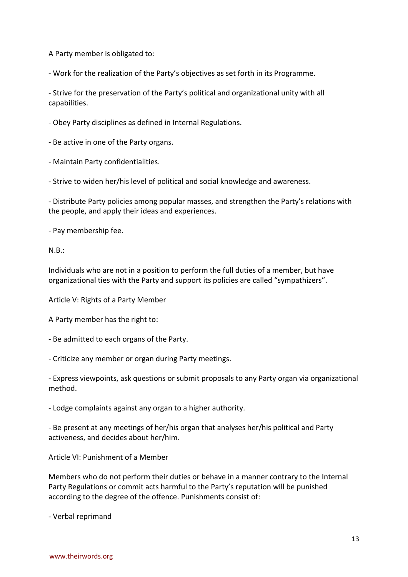A Party member is obligated to:

- Work for the realization of the Party's objectives as set forth in its Programme.

- Strive for the preservation of the Party's political and organizational unity with all capabilities.

- Obey Party disciplines as defined in Internal Regulations.

- Be active in one of the Party organs.

- Maintain Party confidentialities.

- Strive to widen her/his level of political and social knowledge and awareness.

- Distribute Party policies among popular masses, and strengthen the Party's relations with the people, and apply their ideas and experiences.

- Pay membership fee.

N.B.:

Individuals who are not in a position to perform the full duties of a member, but have organizational ties with the Party and support its policies are called "sympathizers".

Article V: Rights of a Party Member

A Party member has the right to:

- Be admitted to each organs of the Party.

- Criticize any member or organ during Party meetings.

- Express viewpoints, ask questions or submit proposals to any Party organ via organizational method.

- Lodge complaints against any organ to a higher authority.

- Be present at any meetings of her/his organ that analyses her/his political and Party activeness, and decides about her/him.

Article VI: Punishment of a Member

Members who do not perform their duties or behave in a manner contrary to the Internal Party Regulations or commit acts harmful to the Party's reputation will be punished according to the degree of the offence. Punishments consist of:

- Verbal reprimand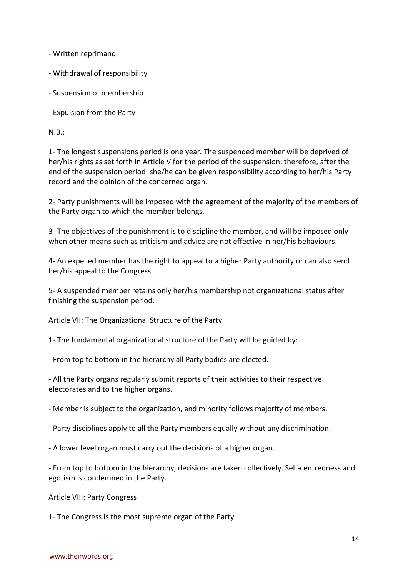- Written reprimand

- Withdrawal of responsibility
- Suspension of membership
- Expulsion from the Party

N.B.:

1- The longest suspensions period is one year. The suspended member will be deprived of her/his rights as set forth in Article V for the period of the suspension; therefore, after the end of the suspension period, she/he can be given responsibility according to her/his Party record and the opinion of the concerned organ.

2- Party punishments will be imposed with the agreement of the majority of the members of the Party organ to which the member belongs.

3- The objectives of the punishment is to discipline the member, and will be imposed only when other means such as criticism and advice are not effective in her/his behaviours.

4- An expelled member has the right to appeal to a higher Party authority or can also send her/his appeal to the Congress.

5- A suspended member retains only her/his membership not organizational status after finishing the suspension period.

Article VII: The Organizational Structure of the Party

1- The fundamental organizational structure of the Party will be guided by:

- From top to bottom in the hierarchy all Party bodies are elected.

- All the Party organs regularly submit reports of their activities to their respective electorates and to the higher organs.

- Member is subject to the organization, and minority follows majority of members.

- Party disciplines apply to all the Party members equally without any discrimination.
- A lower level organ must carry out the decisions of a higher organ.

- From top to bottom in the hierarchy, decisions are taken collectively. Self-centredness and egotism is condemned in the Party.

Article VIII: Party Congress

1- The Congress is the most supreme organ of the Party.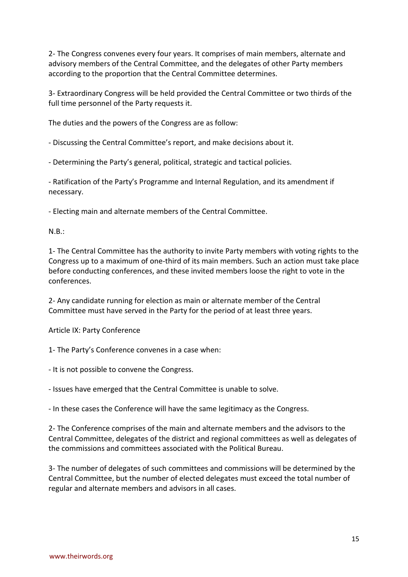2- The Congress convenes every four years. It comprises of main members, alternate and advisory members of the Central Committee, and the delegates of other Party members according to the proportion that the Central Committee determines.

3- Extraordinary Congress will be held provided the Central Committee or two thirds of the full time personnel of the Party requests it.

The duties and the powers of the Congress are as follow:

- Discussing the Central Committee's report, and make decisions about it.

- Determining the Party's general, political, strategic and tactical policies.

- Ratification of the Party's Programme and Internal Regulation, and its amendment if necessary.

- Electing main and alternate members of the Central Committee.

 $N.B.:$ 

1- The Central Committee has the authority to invite Party members with voting rights to the Congress up to a maximum of one-third of its main members. Such an action must take place before conducting conferences, and these invited members loose the right to vote in the conferences.

2- Any candidate running for election as main or alternate member of the Central Committee must have served in the Party for the period of at least three years.

Article IX: Party Conference

1- The Party's Conference convenes in a case when:

- It is not possible to convene the Congress.

- Issues have emerged that the Central Committee is unable to solve.

- In these cases the Conference will have the same legitimacy as the Congress.

2- The Conference comprises of the main and alternate members and the advisors to the Central Committee, delegates of the district and regional committees as well as delegates of the commissions and committees associated with the Political Bureau.

3- The number of delegates of such committees and commissions will be determined by the Central Committee, but the number of elected delegates must exceed the total number of regular and alternate members and advisors in all cases.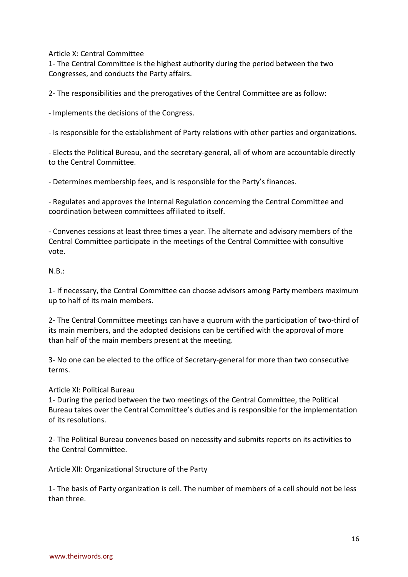Article X: Central Committee

1- The Central Committee is the highest authority during the period between the two Congresses, and conducts the Party affairs.

2- The responsibilities and the prerogatives of the Central Committee are as follow:

- Implements the decisions of the Congress.

- Is responsible for the establishment of Party relations with other parties and organizations.

- Elects the Political Bureau, and the secretary-general, all of whom are accountable directly to the Central Committee.

- Determines membership fees, and is responsible for the Party's finances.

- Regulates and approves the Internal Regulation concerning the Central Committee and coordination between committees affiliated to itself.

- Convenes cessions at least three times a year. The alternate and advisory members of the Central Committee participate in the meetings of the Central Committee with consultive vote.

## N.B.:

1- If necessary, the Central Committee can choose advisors among Party members maximum up to half of its main members.

2- The Central Committee meetings can have a quorum with the participation of two-third of its main members, and the adopted decisions can be certified with the approval of more than half of the main members present at the meeting.

3- No one can be elected to the office of Secretary-general for more than two consecutive terms.

Article XI: Political Bureau

1- During the period between the two meetings of the Central Committee, the Political Bureau takes over the Central Committee's duties and is responsible for the implementation of its resolutions.

2- The Political Bureau convenes based on necessity and submits reports on its activities to the Central Committee.

Article XII: Organizational Structure of the Party

1- The basis of Party organization is cell. The number of members of a cell should not be less than three.